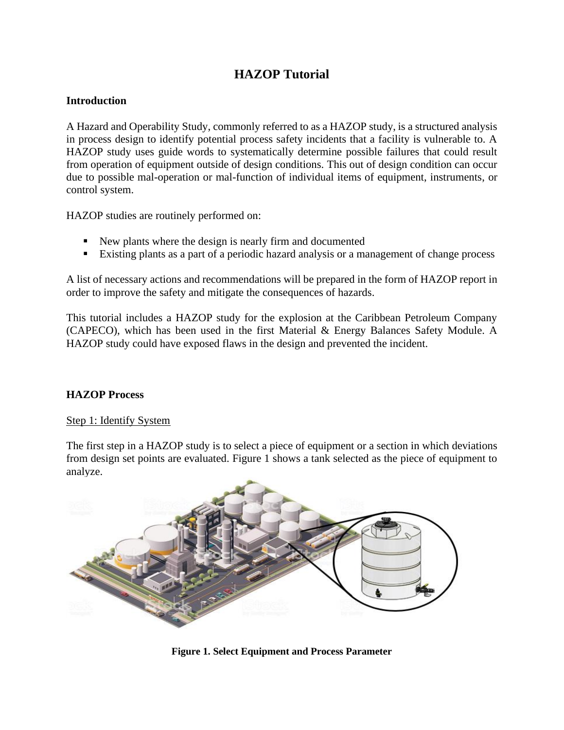## **HAZOP Tutorial**

## **Introduction**

A Hazard and Operability Study, commonly referred to as a HAZOP study, is a structured analysis in process design to identify potential process safety incidents that a facility is vulnerable to. A HAZOP study uses guide words to systematically determine possible failures that could result from operation of equipment outside of design conditions. This out of design condition can occur due to possible mal-operation or mal-function of individual items of equipment, instruments, or control system.

HAZOP studies are routinely performed on:

- New plants where the design is nearly firm and documented
- Existing plants as a part of a periodic hazard analysis or a management of change process

A list of necessary actions and recommendations will be prepared in the form of HAZOP report in order to improve the safety and mitigate the consequences of hazards.

This tutorial includes a HAZOP study for the explosion at the Caribbean Petroleum Company (CAPECO), which has been used in the first Material & Energy Balances Safety Module. A HAZOP study could have exposed flaws in the design and prevented the incident.

#### **HAZOP Process**

#### Step 1: Identify System

The first step in a HAZOP study is to select a piece of equipment or a section in which deviations from design set points are evaluated. Figure 1 shows a tank selected as the piece of equipment to analyze.



**Figure 1. Select Equipment and Process Parameter**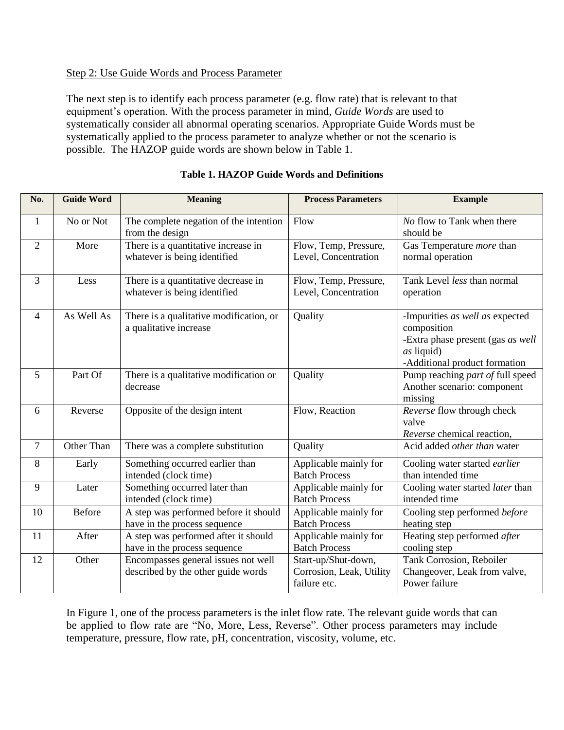## Step 2: Use Guide Words and Process Parameter

The next step is to identify each process parameter (e.g. flow rate) that is relevant to that equipment's operation. With the process parameter in mind, *Guide Words* are used to systematically consider all abnormal operating scenarios. Appropriate Guide Words must be systematically applied to the process parameter to analyze whether or not the scenario is possible. The HAZOP guide words are shown below in Table 1.

| No.            | <b>Guide Word</b> | <b>Meaning</b>                                                            | <b>Process Parameters</b>                                       | <b>Example</b>                                                                                                                     |
|----------------|-------------------|---------------------------------------------------------------------------|-----------------------------------------------------------------|------------------------------------------------------------------------------------------------------------------------------------|
| 1              | No or Not         | The complete negation of the intention<br>from the design                 | Flow                                                            | No flow to Tank when there<br>should be                                                                                            |
| $\overline{2}$ | More              | There is a quantitative increase in<br>whatever is being identified       | Flow, Temp, Pressure,<br>Level, Concentration                   | Gas Temperature <i>more</i> than<br>normal operation                                                                               |
| 3              | Less              | There is a quantitative decrease in<br>whatever is being identified       | Flow, Temp, Pressure,<br>Level, Concentration                   | Tank Level less than normal<br>operation                                                                                           |
| 4              | As Well As        | There is a qualitative modification, or<br>a qualitative increase         | Quality                                                         | -Impurities as well as expected<br>composition<br>-Extra phase present (gas as well<br>as liquid)<br>-Additional product formation |
| 5              | Part Of           | There is a qualitative modification or<br>decrease                        | Quality                                                         | Pump reaching part of full speed<br>Another scenario: component<br>missing                                                         |
| 6              | Reverse           | Opposite of the design intent                                             | Flow, Reaction                                                  | Reverse flow through check<br>valve<br>Reverse chemical reaction,                                                                  |
| 7              | Other Than        | There was a complete substitution                                         | Quality                                                         | Acid added other than water                                                                                                        |
| 8              | Early             | Something occurred earlier than<br>intended (clock time)                  | Applicable mainly for<br><b>Batch Process</b>                   | Cooling water started earlier<br>than intended time                                                                                |
| 9              | Later             | Something occurred later than<br>intended (clock time)                    | Applicable mainly for<br><b>Batch Process</b>                   | Cooling water started later than<br>intended time                                                                                  |
| 10             | <b>Before</b>     | A step was performed before it should<br>have in the process sequence     | Applicable mainly for<br><b>Batch Process</b>                   | Cooling step performed before<br>heating step                                                                                      |
| 11             | After             | A step was performed after it should<br>have in the process sequence      | Applicable mainly for<br><b>Batch Process</b>                   | Heating step performed after<br>cooling step                                                                                       |
| 12             | Other             | Encompasses general issues not well<br>described by the other guide words | Start-up/Shut-down,<br>Corrosion, Leak, Utility<br>failure etc. | Tank Corrosion, Reboiler<br>Changeover, Leak from valve,<br>Power failure                                                          |

#### **Table 1. HAZOP Guide Words and Definitions**

In Figure 1, one of the process parameters is the inlet flow rate. The relevant guide words that can be applied to flow rate are "No, More, Less, Reverse". Other process parameters may include temperature, pressure, flow rate, pH, concentration, viscosity, volume, etc.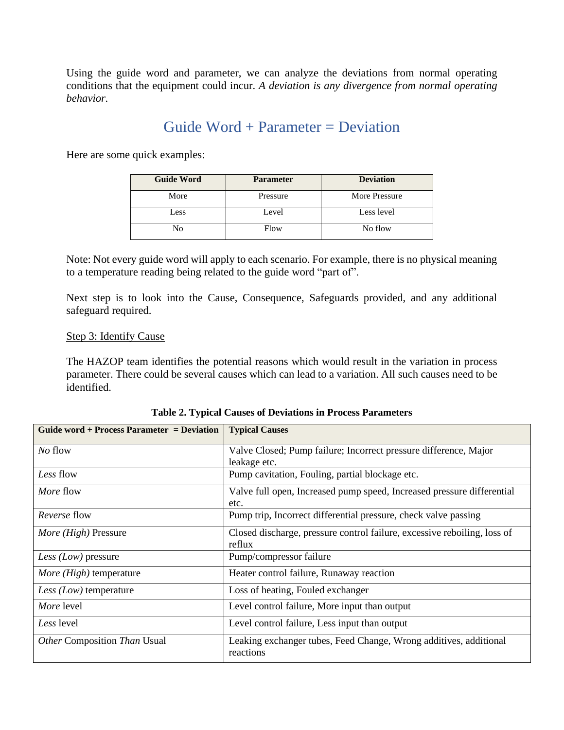Using the guide word and parameter, we can analyze the deviations from normal operating conditions that the equipment could incur. *A deviation is any divergence from normal operating behavior.*

# Guide Word + Parameter = Deviation

Here are some quick examples:

| <b>Guide Word</b> | <b>Parameter</b> | <b>Deviation</b> |
|-------------------|------------------|------------------|
| More              | Pressure         | More Pressure    |
| Less              | Level            | Less level       |
| No                | Flow             | No flow          |

Note: Not every guide word will apply to each scenario. For example, there is no physical meaning to a temperature reading being related to the guide word "part of".

Next step is to look into the Cause, Consequence, Safeguards provided, and any additional safeguard required.

#### Step 3: Identify Cause

The HAZOP team identifies the potential reasons which would result in the variation in process parameter. There could be several causes which can lead to a variation. All such causes need to be identified.

| Guide word + Process Parameter = Deviation | <b>Typical Causes</b>                                                    |  |
|--------------------------------------------|--------------------------------------------------------------------------|--|
| No flow                                    | Valve Closed; Pump failure; Incorrect pressure difference, Major         |  |
|                                            | leakage etc.                                                             |  |
| Less flow                                  | Pump cavitation, Fouling, partial blockage etc.                          |  |
| <i>More</i> flow                           | Valve full open, Increased pump speed, Increased pressure differential   |  |
|                                            | etc.                                                                     |  |
| <i>Reverse</i> flow                        | Pump trip, Incorrect differential pressure, check valve passing          |  |
| More (High) Pressure                       | Closed discharge, pressure control failure, excessive reboiling, loss of |  |
|                                            | reflux                                                                   |  |
| <i>Less (Low)</i> pressure                 | Pump/compressor failure                                                  |  |
| <i>More (High)</i> temperature             | Heater control failure, Runaway reaction                                 |  |
| Less $(Low)$ temperature                   | Loss of heating, Fouled exchanger                                        |  |
| More level                                 | Level control failure, More input than output                            |  |
| Less level                                 | Level control failure, Less input than output                            |  |
| Other Composition Than Usual               | Leaking exchanger tubes, Feed Change, Wrong additives, additional        |  |
|                                            | reactions                                                                |  |

**Table 2. Typical Causes of Deviations in Process Parameters**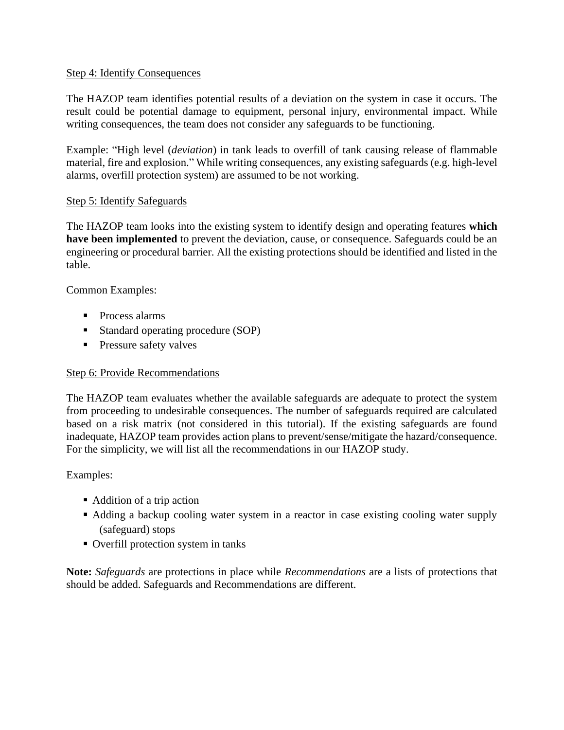## Step 4: Identify Consequences

The HAZOP team identifies potential results of a deviation on the system in case it occurs. The result could be potential damage to equipment, personal injury, environmental impact. While writing consequences, the team does not consider any safeguards to be functioning.

Example: "High level (*deviation*) in tank leads to overfill of tank causing release of flammable material, fire and explosion." While writing consequences, any existing safeguards (e.g. high-level alarms, overfill protection system) are assumed to be not working.

## Step 5: Identify Safeguards

The HAZOP team looks into the existing system to identify design and operating features **which have been implemented** to prevent the deviation, cause, or consequence. Safeguards could be an engineering or procedural barrier. All the existing protections should be identified and listed in the table.

Common Examples:

- Process alarms
- Standard operating procedure (SOP)
- **Pressure safety valves**

## Step 6: Provide Recommendations

The HAZOP team evaluates whether the available safeguards are adequate to protect the system from proceeding to undesirable consequences. The number of safeguards required are calculated based on a risk matrix (not considered in this tutorial). If the existing safeguards are found inadequate, HAZOP team provides action plans to prevent/sense/mitigate the hazard/consequence. For the simplicity, we will list all the recommendations in our HAZOP study.

## Examples:

- Addition of a trip action
- Adding a backup cooling water system in a reactor in case existing cooling water supply (safeguard) stops
- Overfill protection system in tanks

**Note:** *Safeguards* are protections in place while *Recommendations* are a lists of protections that should be added. Safeguards and Recommendations are different.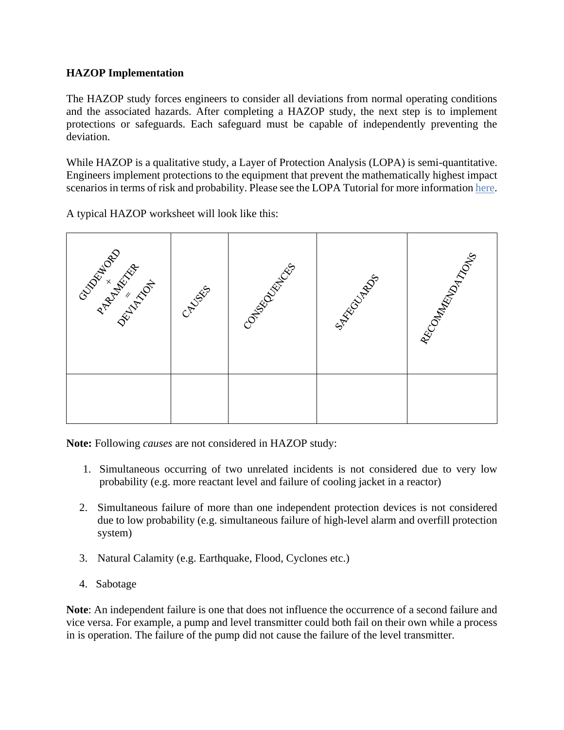## **HAZOP Implementation**

The HAZOP study forces engineers to consider all deviations from normal operating conditions and the associated hazards. After completing a HAZOP study, the next step is to implement protections or safeguards. Each safeguard must be capable of independently preventing the deviation.

While HAZOP is a qualitative study, a Layer of Protection Analysis (LOPA) is semi-quantitative. Engineers implement protections to the equipment that prevent the mathematically highest impact scenarios in terms of risk and probability. Please see the LOPA Tutorial for more informatio[n here.](http://umich.edu/~safeche/assets/pdf/LOPA_Tutorial.pdf)

A typical HAZOP worksheet will look like this:



**Note:** Following *causes* are not considered in HAZOP study:

- 1. Simultaneous occurring of two unrelated incidents is not considered due to very low probability (e.g. more reactant level and failure of cooling jacket in a reactor)
- 2. Simultaneous failure of more than one independent protection devices is not considered due to low probability (e.g. simultaneous failure of high-level alarm and overfill protection system)
- 3. Natural Calamity (e.g. Earthquake, Flood, Cyclones etc.)
- 4. Sabotage

**Note**: An independent failure is one that does not influence the occurrence of a second failure and vice versa. For example, a pump and level transmitter could both fail on their own while a process in is operation. The failure of the pump did not cause the failure of the level transmitter.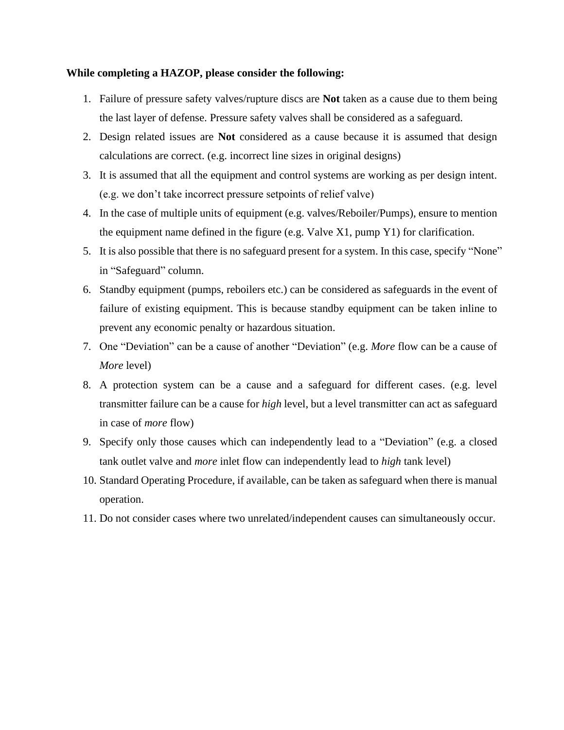#### **While completing a HAZOP, please consider the following:**

- 1. Failure of pressure safety valves/rupture discs are **Not** taken as a cause due to them being the last layer of defense. Pressure safety valves shall be considered as a safeguard.
- 2. Design related issues are **Not** considered as a cause because it is assumed that design calculations are correct. (e.g. incorrect line sizes in original designs)
- 3. It is assumed that all the equipment and control systems are working as per design intent. (e.g. we don't take incorrect pressure setpoints of relief valve)
- 4. In the case of multiple units of equipment (e.g. valves/Reboiler/Pumps), ensure to mention the equipment name defined in the figure (e.g. Valve X1, pump Y1) for clarification.
- 5. It is also possible that there is no safeguard present for a system. In this case, specify "None" in "Safeguard" column.
- 6. Standby equipment (pumps, reboilers etc.) can be considered as safeguards in the event of failure of existing equipment. This is because standby equipment can be taken inline to prevent any economic penalty or hazardous situation.
- 7. One "Deviation" can be a cause of another "Deviation" (e.g. *More* flow can be a cause of *More* level)
- 8. A protection system can be a cause and a safeguard for different cases. (e.g. level transmitter failure can be a cause for *high* level, but a level transmitter can act as safeguard in case of *more* flow)
- 9. Specify only those causes which can independently lead to a "Deviation" (e.g. a closed tank outlet valve and *more* inlet flow can independently lead to *high* tank level)
- 10. Standard Operating Procedure, if available, can be taken as safeguard when there is manual operation.
- 11. Do not consider cases where two unrelated/independent causes can simultaneously occur.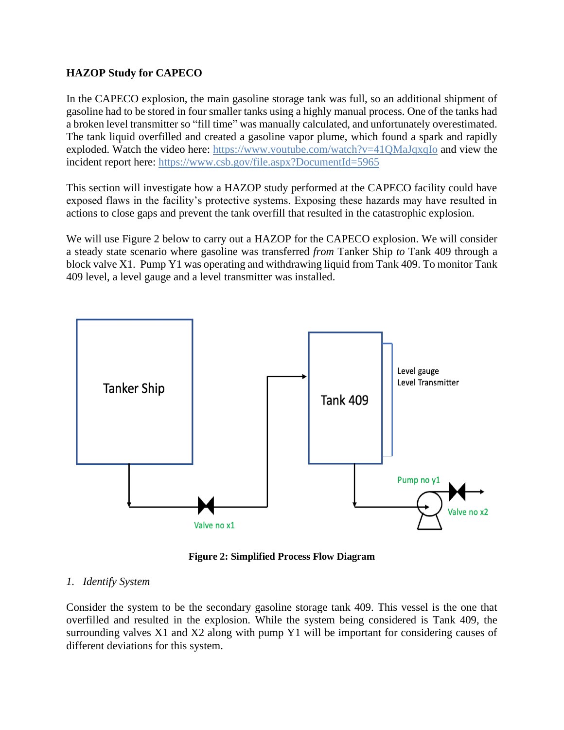## **HAZOP Study for CAPECO**

In the CAPECO explosion, the main gasoline storage tank was full, so an additional shipment of gasoline had to be stored in four smaller tanks using a highly manual process. One of the tanks had a broken level transmitter so "fill time" was manually calculated, and unfortunately overestimated. The tank liquid overfilled and created a gasoline vapor plume, which found a spark and rapidly exploded. Watch the video here:<https://www.youtube.com/watch?v=41QMaJqxqIo> and view the incident report here:<https://www.csb.gov/file.aspx?DocumentId=5965>

This section will investigate how a HAZOP study performed at the CAPECO facility could have exposed flaws in the facility's protective systems. Exposing these hazards may have resulted in actions to close gaps and prevent the tank overfill that resulted in the catastrophic explosion.

We will use Figure 2 below to carry out a HAZOP for the CAPECO explosion. We will consider a steady state scenario where gasoline was transferred *from* Tanker Ship *to* Tank 409 through a block valve X1. Pump Y1 was operating and withdrawing liquid from Tank 409. To monitor Tank 409 level, a level gauge and a level transmitter was installed.



**Figure 2: Simplified Process Flow Diagram**

## *1. Identify System*

Consider the system to be the secondary gasoline storage tank 409. This vessel is the one that overfilled and resulted in the explosion. While the system being considered is Tank 409, the surrounding valves X1 and X2 along with pump Y1 will be important for considering causes of different deviations for this system.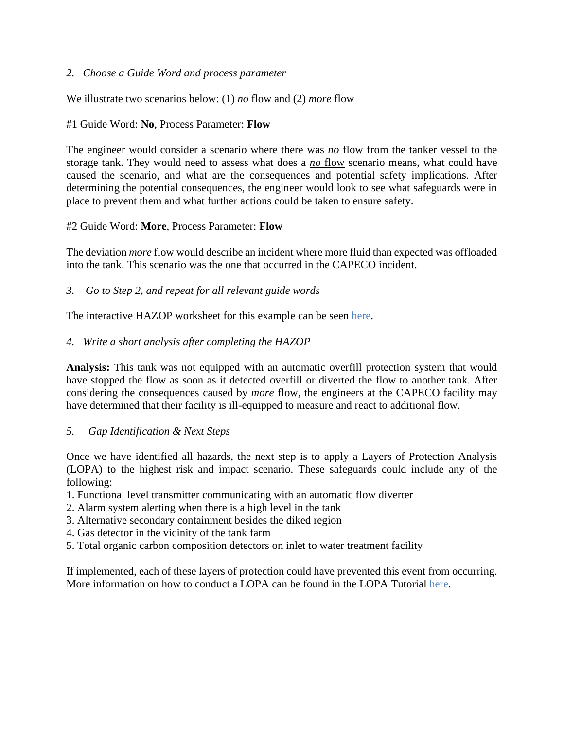## *2. Choose a Guide Word and process parameter*

We illustrate two scenarios below: (1) *no* flow and (2) *more* flow

## #1 Guide Word: **No**, Process Parameter: **Flow**

The engineer would consider a scenario where there was *no* flow from the tanker vessel to the storage tank. They would need to assess what does a *no* flow scenario means, what could have caused the scenario, and what are the consequences and potential safety implications. After determining the potential consequences, the engineer would look to see what safeguards were in place to prevent them and what further actions could be taken to ensure safety.

## #2 Guide Word: **More**, Process Parameter: **Flow**

The deviation *more* flow would describe an incident where more fluid than expected was offloaded into the tank. This scenario was the one that occurred in the CAPECO incident.

*3. Go to Step 2, and repeat for all relevant guide words* 

The interactive HAZOP worksheet for this example can be seen [here.](http://umich.edu/~safeche/table.html)

## *4. Write a short analysis after completing the HAZOP*

**Analysis:** This tank was not equipped with an automatic overfill protection system that would have stopped the flow as soon as it detected overfill or diverted the flow to another tank. After considering the consequences caused by *more* flow, the engineers at the CAPECO facility may have determined that their facility is ill-equipped to measure and react to additional flow.

#### *5. Gap Identification & Next Steps*

Once we have identified all hazards, the next step is to apply a Layers of Protection Analysis (LOPA) to the highest risk and impact scenario. These safeguards could include any of the following:

- 1. Functional level transmitter communicating with an automatic flow diverter
- 2. Alarm system alerting when there is a high level in the tank
- 3. Alternative secondary containment besides the diked region
- 4. Gas detector in the vicinity of the tank farm
- 5. Total organic carbon composition detectors on inlet to water treatment facility

If implemented, each of these layers of protection could have prevented this event from occurring. More information on how to conduct a LOPA can be found in the LOPA Tutorial [here.](http://umich.edu/~safeche/assets/pdf/LOPA_Tutorial.pdf)